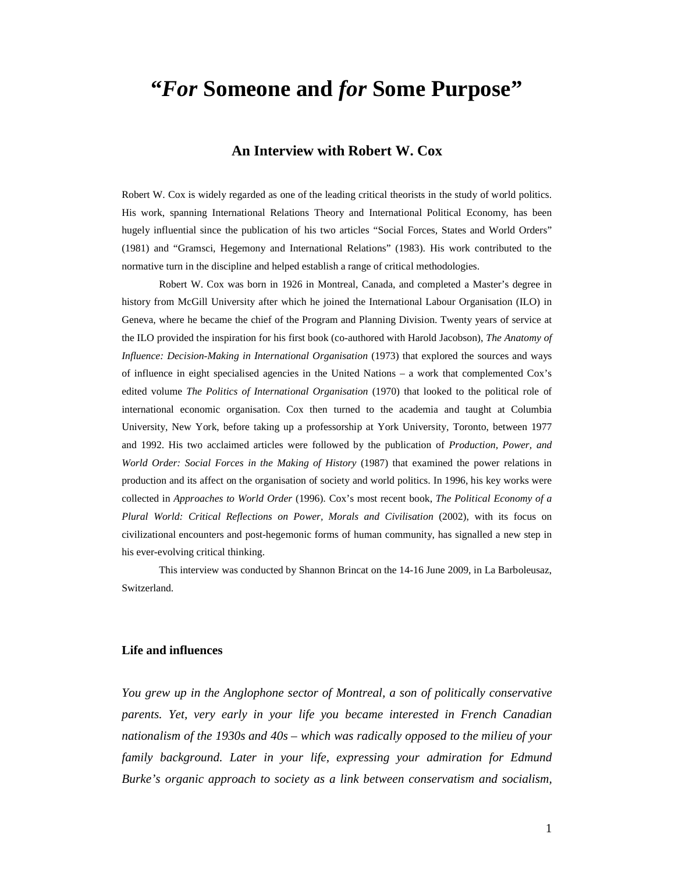# **"***For* **Someone and** *for* **Some Purpose"**

### **An Interview with Robert W. Cox**

Robert W. Cox is widely regarded as one of the leading critical theorists in the study of world politics. His work, spanning International Relations Theory and International Political Economy, has been hugely influential since the publication of his two articles "Social Forces, States and World Orders" (1981) and "Gramsci, Hegemony and International Relations" (1983). His work contributed to the normative turn in the discipline and helped establish a range of critical methodologies.

Robert W. Cox was born in 1926 in Montreal, Canada, and completed a Master's degree in history from McGill University after which he joined the International Labour Organisation (ILO) in Geneva, where he became the chief of the Program and Planning Division. Twenty years of service at the ILO provided the inspiration for his first book (co-authored with Harold Jacobson), *The Anatomy of Influence: Decision-Making in International Organisation* (1973) that explored the sources and ways of influence in eight specialised agencies in the United Nations – a work that complemented Cox's edited volume *The Politics of International Organisation* (1970) that looked to the political role of international economic organisation. Cox then turned to the academia and taught at Columbia University, New York, before taking up a professorship at York University, Toronto, between 1977 and 1992. His two acclaimed articles were followed by the publication of *Production, Power, and World Order: Social Forces in the Making of History* (1987) that examined the power relations in production and its affect on the organisation of society and world politics. In 1996, his key works were collected in *Approaches to World Order* (1996). Cox's most recent book, *The Political Economy of a Plural World: Critical Reflections on Power, Morals and Civilisation* (2002), with its focus on civilizational encounters and post-hegemonic forms of human community, has signalled a new step in his ever-evolving critical thinking.

This interview was conducted by Shannon Brincat on the 14-16 June 2009, in La Barboleusaz, Switzerland.

#### **Life and influences**

*You grew up in the Anglophone sector of Montreal, a son of politically conservative parents. Yet, very early in your life you became interested in French Canadian nationalism of the 1930s and 40s – which was radically opposed to the milieu of your family background. Later in your life, expressing your admiration for Edmund Burke's organic approach to society as a link between conservatism and socialism,*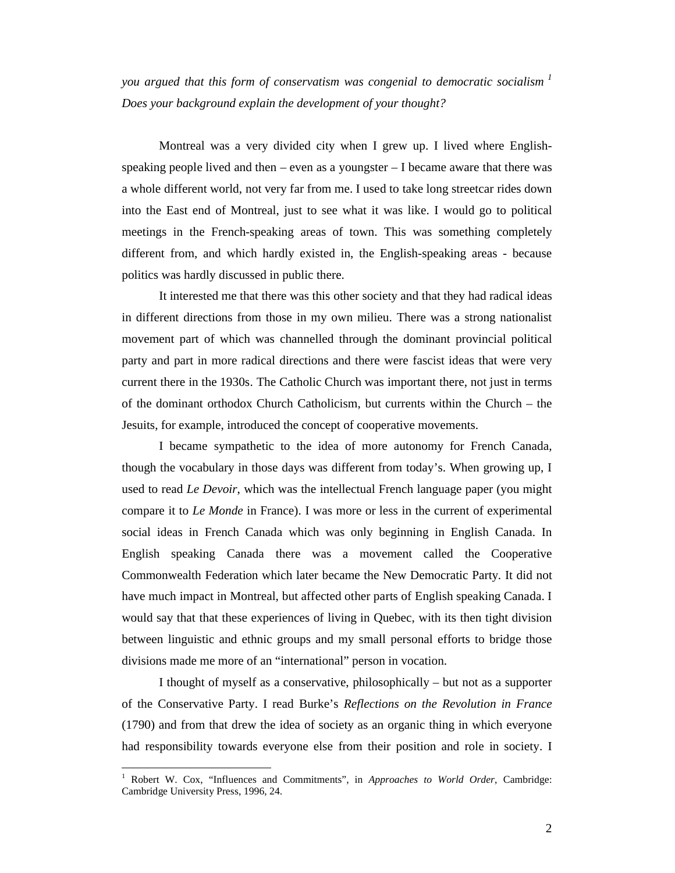*you argued that this form of conservatism was congenial to democratic socialism <sup>1</sup> Does your background explain the development of your thought?*

Montreal was a very divided city when I grew up. I lived where Englishspeaking people lived and then – even as a youngster – I became aware that there was a whole different world, not very far from me. I used to take long streetcar rides down into the East end of Montreal, just to see what it was like. I would go to political meetings in the French-speaking areas of town. This was something completely different from, and which hardly existed in, the English-speaking areas - because politics was hardly discussed in public there.

It interested me that there was this other society and that they had radical ideas in different directions from those in my own milieu. There was a strong nationalist movement part of which was channelled through the dominant provincial political party and part in more radical directions and there were fascist ideas that were very current there in the 1930s. The Catholic Church was important there, not just in terms of the dominant orthodox Church Catholicism, but currents within the Church – the Jesuits, for example, introduced the concept of cooperative movements.

I became sympathetic to the idea of more autonomy for French Canada, though the vocabulary in those days was different from today's. When growing up, I used to read *Le Devoir*, which was the intellectual French language paper (you might compare it to *Le Monde* in France). I was more or less in the current of experimental social ideas in French Canada which was only beginning in English Canada. In English speaking Canada there was a movement called the Cooperative Commonwealth Federation which later became the New Democratic Party. It did not have much impact in Montreal, but affected other parts of English speaking Canada. I would say that that these experiences of living in Quebec, with its then tight division between linguistic and ethnic groups and my small personal efforts to bridge those divisions made me more of an "international" person in vocation.

I thought of myself as a conservative, philosophically – but not as a supporter of the Conservative Party. I read Burke's *Reflections on the Revolution in France* (1790) and from that drew the idea of society as an organic thing in which everyone had responsibility towards everyone else from their position and role in society. I

<sup>1</sup> Robert W. Cox, "Influences and Commitments", in *Approaches to World Order*, Cambridge: Cambridge University Press, 1996, 24.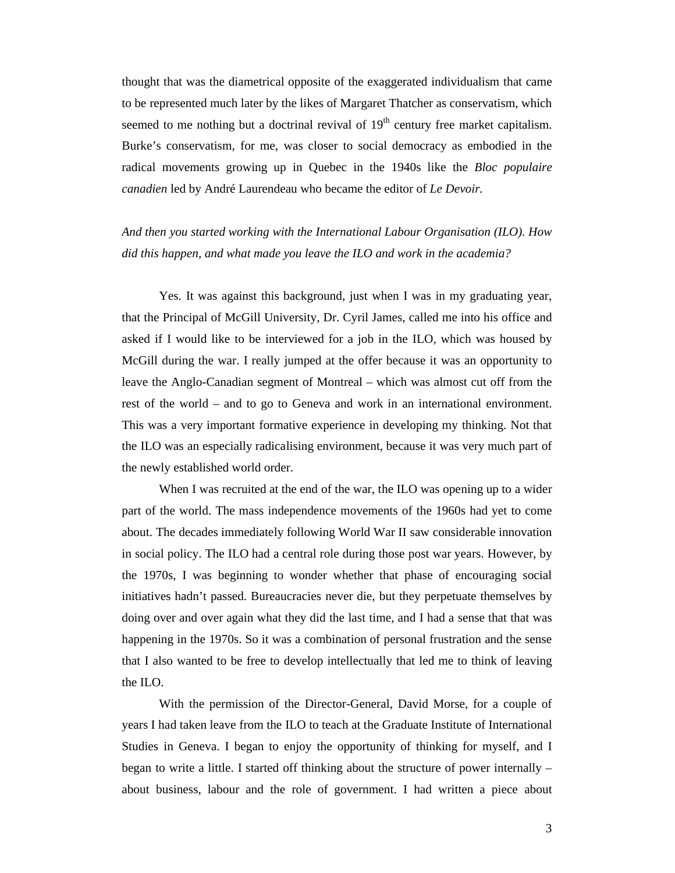thought that was the diametrical opposite of the exaggerated individualism that came to be represented much later by the likes of Margaret Thatcher as conservatism, which seemed to me nothing but a doctrinal revival of  $19<sup>th</sup>$  century free market capitalism. Burke's conservatism, for me, was closer to social democracy as embodied in the radical movements growing up in Quebec in the 1940s like the *Bloc populaire canadien* led by André Laurendeau who became the editor of *Le Devoir.*

*And then you started working with the International Labour Organisation (ILO). How did this happen, and what made you leave the ILO and work in the academia?*

Yes. It was against this background, just when I was in my graduating year, that the Principal of McGill University, Dr. Cyril James, called me into his office and asked if I would like to be interviewed for a job in the ILO, which was housed by McGill during the war. I really jumped at the offer because it was an opportunity to leave the Anglo-Canadian segment of Montreal – which was almost cut off from the rest of the world – and to go to Geneva and work in an international environment. This was a very important formative experience in developing my thinking. Not that the ILO was an especially radicalising environment, because it was very much part of the newly established world order.

When I was recruited at the end of the war, the ILO was opening up to a wider part of the world. The mass independence movements of the 1960s had yet to come about. The decades immediately following World War II saw considerable innovation in social policy. The ILO had a central role during those post war years. However, by the 1970s, I was beginning to wonder whether that phase of encouraging social initiatives hadn't passed. Bureaucracies never die, but they perpetuate themselves by doing over and over again what they did the last time, and I had a sense that that was happening in the 1970s. So it was a combination of personal frustration and the sense that I also wanted to be free to develop intellectually that led me to think of leaving the ILO.

With the permission of the Director-General, David Morse, for a couple of years I had taken leave from the ILO to teach at the Graduate Institute of International Studies in Geneva. I began to enjoy the opportunity of thinking for myself, and I began to write a little. I started off thinking about the structure of power internally – about business, labour and the role of government. I had written a piece about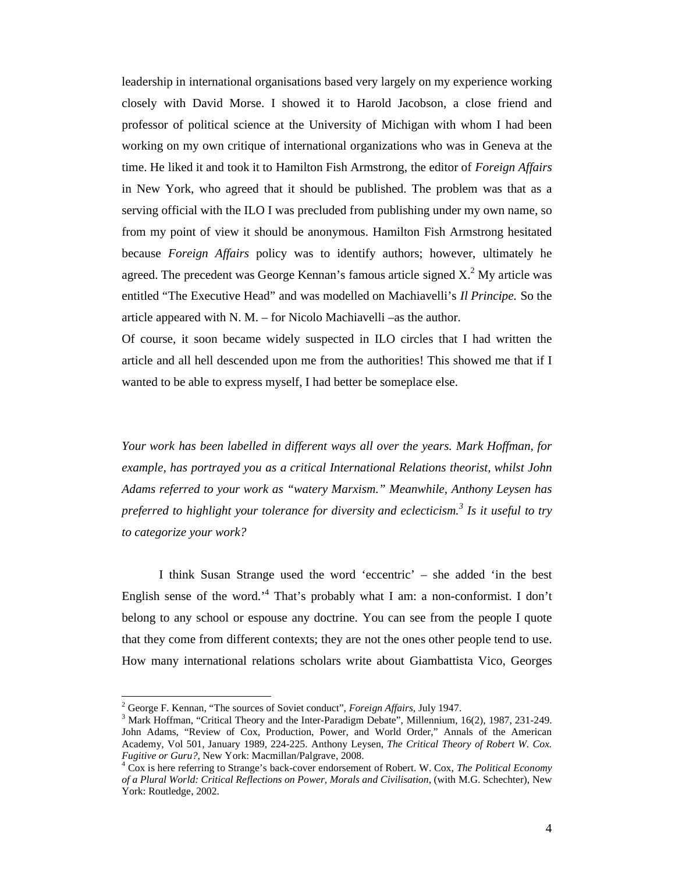leadership in international organisations based very largely on my experience working closely with David Morse. I showed it to Harold Jacobson, a close friend and professor of political science at the University of Michigan with whom I had been working on my own critique of international organizations who was in Geneva at the time. He liked it and took it to Hamilton Fish Armstrong, the editor of *Foreign Affairs*  in New York, who agreed that it should be published. The problem was that as a serving official with the ILO I was precluded from publishing under my own name, so from my point of view it should be anonymous. Hamilton Fish Armstrong hesitated because *Foreign Affairs* policy was to identify authors; however, ultimately he agreed. The precedent was George Kennan's famous article signed  $X<sup>2</sup>$  My article was entitled "The Executive Head" and was modelled on Machiavelli's *Il Principe.* So the article appeared with N. M. – for Nicolo Machiavelli –as the author.

Of course, it soon became widely suspected in ILO circles that I had written the article and all hell descended upon me from the authorities! This showed me that if I wanted to be able to express myself, I had better be someplace else.

*Your work has been labelled in different ways all over the years. Mark Hoffman, for example, has portrayed you as a critical International Relations theorist, whilst John Adams referred to your work as "watery Marxism." Meanwhile, Anthony Leysen has preferred to highlight your tolerance for diversity and eclecticism.<sup>3</sup> Is it useful to try to categorize your work?*

I think Susan Strange used the word 'eccentric' – she added 'in the best English sense of the word.<sup>4</sup> That's probably what I am: a non-conformist. I don't belong to any school or espouse any doctrine. You can see from the people I quote that they come from different contexts; they are not the ones other people tend to use. How many international relations scholars write about Giambattista Vico, Georges

<sup>&</sup>lt;sup>2</sup> George F. Kennan, "The sources of Soviet conduct", *Foreign Affairs*, July 1947.<br><sup>3</sup> Mark Hoffman, "Critical Theory and the Inter-Paradigm Debate", Millennium, 16(2), 1987, 231-249. John Adams, "Review of Cox, Production, Power, and World Order," Annals of the American Academy, Vol 501, January 1989, 224-225. Anthony Leysen, *The Critical Theory of Robert W. Cox. Fugitive or Guru?*, New York: Macmillan/Palgrave, 2008.<br><sup>4</sup> Cox is here referring to Strange's back-cover endorsement of Robert. W. Cox, *The Political Economy* 

*of a Plural World: Critical Reflections on Power, Morals and Civilisation*, (with M.G. Schechter), New York: Routledge, 2002.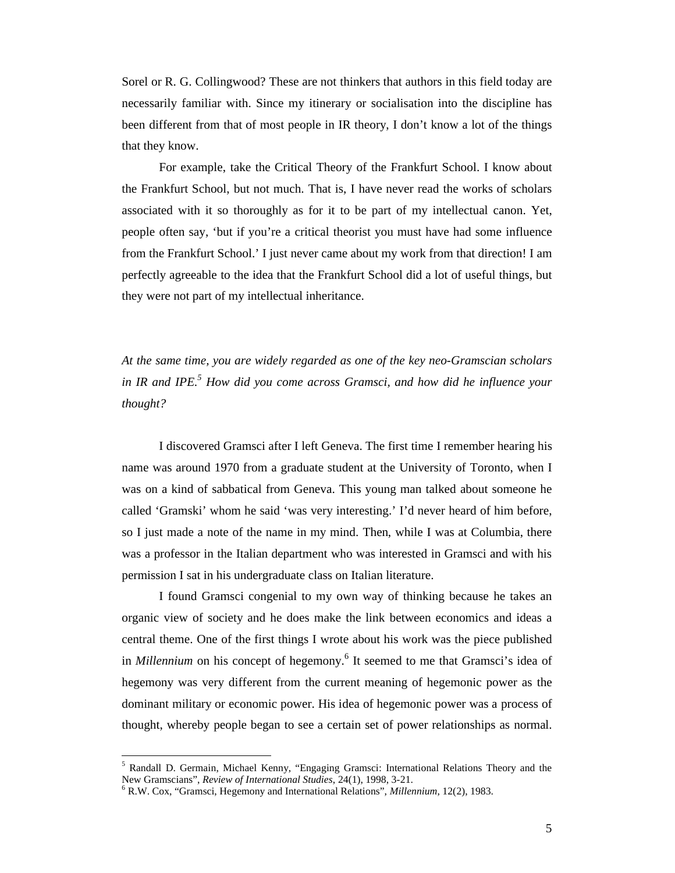Sorel or R. G. Collingwood? These are not thinkers that authors in this field today are necessarily familiar with. Since my itinerary or socialisation into the discipline has been different from that of most people in IR theory, I don't know a lot of the things that they know.

For example, take the Critical Theory of the Frankfurt School. I know about the Frankfurt School, but not much. That is, I have never read the works of scholars associated with it so thoroughly as for it to be part of my intellectual canon. Yet, people often say, 'but if you're a critical theorist you must have had some influence from the Frankfurt School.' I just never came about my work from that direction! I am perfectly agreeable to the idea that the Frankfurt School did a lot of useful things, but they were not part of my intellectual inheritance.

*At the same time, you are widely regarded as one of the key neo-Gramscian scholars in IR and IPE.5 How did you come across Gramsci, and how did he influence your thought?*

I discovered Gramsci after I left Geneva. The first time I remember hearing his name was around 1970 from a graduate student at the University of Toronto, when I was on a kind of sabbatical from Geneva. This young man talked about someone he called 'Gramski' whom he said 'was very interesting.' I'd never heard of him before, so I just made a note of the name in my mind. Then, while I was at Columbia, there was a professor in the Italian department who was interested in Gramsci and with his permission I sat in his undergraduate class on Italian literature.

I found Gramsci congenial to my own way of thinking because he takes an organic view of society and he does make the link between economics and ideas a central theme. One of the first things I wrote about his work was the piece published in *Millennium* on his concept of hegemony.<sup>6</sup> It seemed to me that Gramsci's idea of hegemony was very different from the current meaning of hegemonic power as the dominant military or economic power. His idea of hegemonic power was a process of thought, whereby people began to see a certain set of power relationships as normal.

<sup>&</sup>lt;sup>5</sup> Randall D. Germain, Michael Kenny, "Engaging Gramsci: International Relations Theory and the New Gramscians", *Review of International Studies*, 24(1), 1998, 3-21.

<sup>&</sup>lt;sup>6</sup> R.W. Cox, "Gramsci, Hegemony and International Relations", *Millennium*, 12(2), 1983.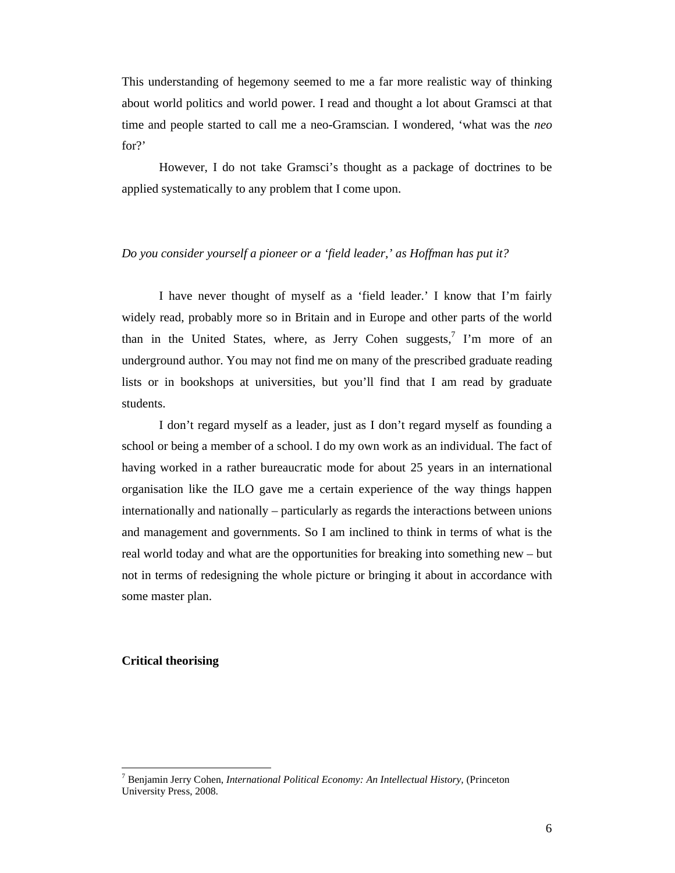This understanding of hegemony seemed to me a far more realistic way of thinking about world politics and world power. I read and thought a lot about Gramsci at that time and people started to call me a neo-Gramscian. I wondered, 'what was the *neo* for?'

However, I do not take Gramsci's thought as a package of doctrines to be applied systematically to any problem that I come upon.

#### *Do you consider yourself a pioneer or a 'field leader,' as Hoffman has put it?*

I have never thought of myself as a 'field leader.' I know that I'm fairly widely read, probably more so in Britain and in Europe and other parts of the world than in the United States, where, as Jerry Cohen suggests, $7$  I'm more of an underground author. You may not find me on many of the prescribed graduate reading lists or in bookshops at universities, but you'll find that I am read by graduate students.

I don't regard myself as a leader, just as I don't regard myself as founding a school or being a member of a school. I do my own work as an individual. The fact of having worked in a rather bureaucratic mode for about 25 years in an international organisation like the ILO gave me a certain experience of the way things happen internationally and nationally – particularly as regards the interactions between unions and management and governments. So I am inclined to think in terms of what is the real world today and what are the opportunities for breaking into something new – but not in terms of redesigning the whole picture or bringing it about in accordance with some master plan.

#### **Critical theorising**

<sup>7</sup> Benjamin Jerry Cohen, *International Political Economy: An Intellectual History,* (Princeton University Press, 2008.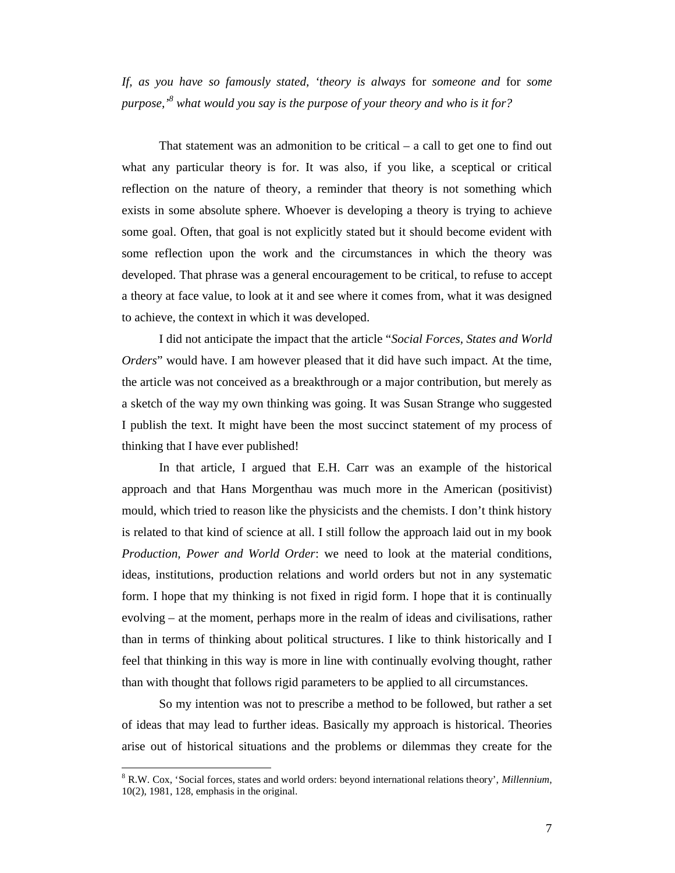*If, as you have so famously stated, 'theory is always* for *someone and* for *some purpose,'<sup>8</sup> what would you say is the purpose of your theory and who is it for?*

That statement was an admonition to be critical – a call to get one to find out what any particular theory is for. It was also, if you like, a sceptical or critical reflection on the nature of theory, a reminder that theory is not something which exists in some absolute sphere. Whoever is developing a theory is trying to achieve some goal. Often, that goal is not explicitly stated but it should become evident with some reflection upon the work and the circumstances in which the theory was developed. That phrase was a general encouragement to be critical, to refuse to accept a theory at face value, to look at it and see where it comes from, what it was designed to achieve, the context in which it was developed.

I did not anticipate the impact that the article "*Social Forces, States and World Orders*" would have. I am however pleased that it did have such impact. At the time, the article was not conceived as a breakthrough or a major contribution, but merely as a sketch of the way my own thinking was going. It was Susan Strange who suggested I publish the text. It might have been the most succinct statement of my process of thinking that I have ever published!

In that article, I argued that E.H. Carr was an example of the historical approach and that Hans Morgenthau was much more in the American (positivist) mould, which tried to reason like the physicists and the chemists. I don't think history is related to that kind of science at all. I still follow the approach laid out in my book *Production, Power and World Order*: we need to look at the material conditions, ideas, institutions, production relations and world orders but not in any systematic form. I hope that my thinking is not fixed in rigid form. I hope that it is continually evolving – at the moment, perhaps more in the realm of ideas and civilisations, rather than in terms of thinking about political structures. I like to think historically and I feel that thinking in this way is more in line with continually evolving thought, rather than with thought that follows rigid parameters to be applied to all circumstances.

So my intention was not to prescribe a method to be followed, but rather a set of ideas that may lead to further ideas. Basically my approach is historical. Theories arise out of historical situations and the problems or dilemmas they create for the

<sup>8</sup> R.W. Cox, 'Social forces, states and world orders: beyond international relations theory', *Millennium*, 10(2), 1981, 128, emphasis in the original.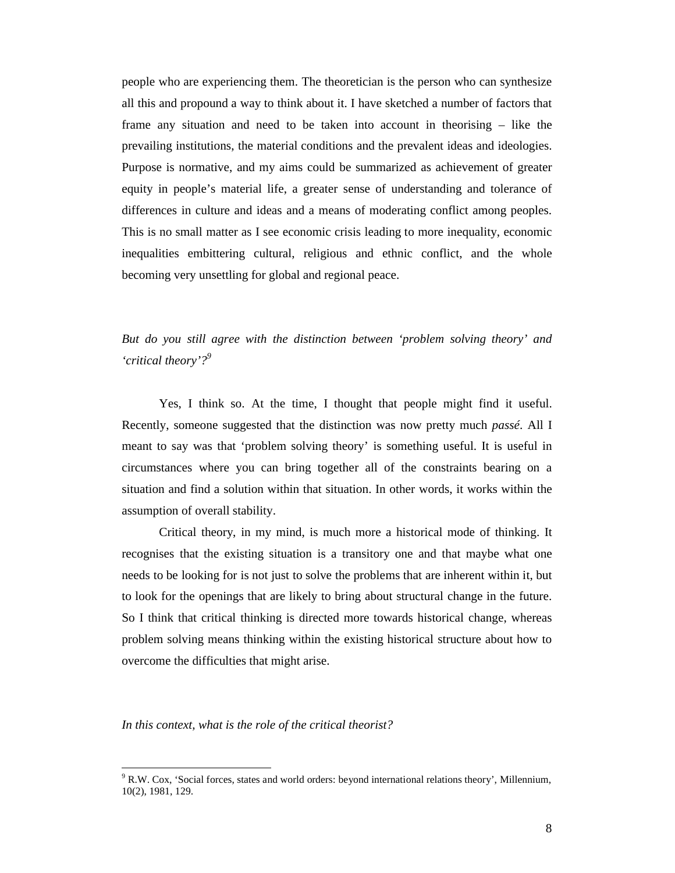people who are experiencing them. The theoretician is the person who can synthesize all this and propound a way to think about it. I have sketched a number of factors that frame any situation and need to be taken into account in theorising – like the prevailing institutions, the material conditions and the prevalent ideas and ideologies. Purpose is normative, and my aims could be summarized as achievement of greater equity in people's material life, a greater sense of understanding and tolerance of differences in culture and ideas and a means of moderating conflict among peoples. This is no small matter as I see economic crisis leading to more inequality, economic inequalities embittering cultural, religious and ethnic conflict, and the whole becoming very unsettling for global and regional peace.

*But do you still agree with the distinction between 'problem solving theory' and 'critical theory'?<sup>9</sup>*

Yes, I think so. At the time, I thought that people might find it useful. Recently, someone suggested that the distinction was now pretty much *passé*. All I meant to say was that 'problem solving theory' is something useful. It is useful in circumstances where you can bring together all of the constraints bearing on a situation and find a solution within that situation. In other words, it works within the assumption of overall stability.

Critical theory, in my mind, is much more a historical mode of thinking. It recognises that the existing situation is a transitory one and that maybe what one needs to be looking for is not just to solve the problems that are inherent within it, but to look for the openings that are likely to bring about structural change in the future. So I think that critical thinking is directed more towards historical change, whereas problem solving means thinking within the existing historical structure about how to overcome the difficulties that might arise.

*In this context, what is the role of the critical theorist?*

<sup>&</sup>lt;sup>9</sup> R.W. Cox, 'Social forces, states and world orders: beyond international relations theory', Millennium, 10(2), 1981, 129.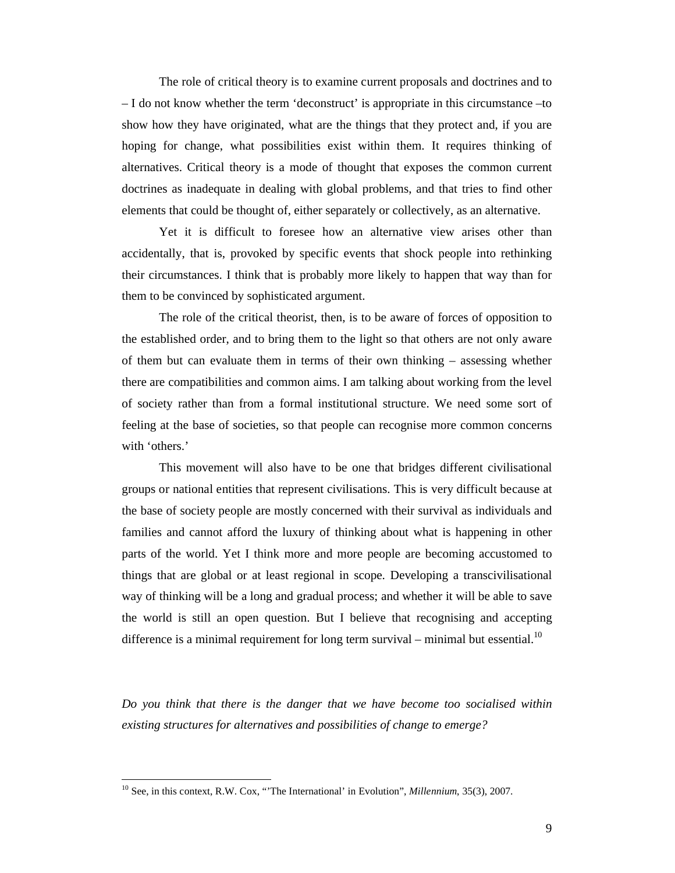The role of critical theory is to examine current proposals and doctrines and to – I do not know whether the term 'deconstruct' is appropriate in this circumstance –to show how they have originated, what are the things that they protect and, if you are hoping for change, what possibilities exist within them. It requires thinking of alternatives. Critical theory is a mode of thought that exposes the common current doctrines as inadequate in dealing with global problems, and that tries to find other elements that could be thought of, either separately or collectively, as an alternative.

Yet it is difficult to foresee how an alternative view arises other than accidentally, that is, provoked by specific events that shock people into rethinking their circumstances. I think that is probably more likely to happen that way than for them to be convinced by sophisticated argument.

The role of the critical theorist, then, is to be aware of forces of opposition to the established order, and to bring them to the light so that others are not only aware of them but can evaluate them in terms of their own thinking – assessing whether there are compatibilities and common aims. I am talking about working from the level of society rather than from a formal institutional structure. We need some sort of feeling at the base of societies, so that people can recognise more common concerns with 'others.'

This movement will also have to be one that bridges different civilisational groups or national entities that represent civilisations. This is very difficult because at the base of society people are mostly concerned with their survival as individuals and families and cannot afford the luxury of thinking about what is happening in other parts of the world. Yet I think more and more people are becoming accustomed to things that are global or at least regional in scope. Developing a transcivilisational way of thinking will be a long and gradual process; and whether it will be able to save the world is still an open question. But I believe that recognising and accepting difference is a minimal requirement for long term survival – minimal but essential.<sup>10</sup>

*Do you think that there is the danger that we have become too socialised within existing structures for alternatives and possibilities of change to emerge?*

<sup>10</sup> See, in this context, R.W. Cox, "'The International' in Evolution", *Millennium*, 35(3), 2007.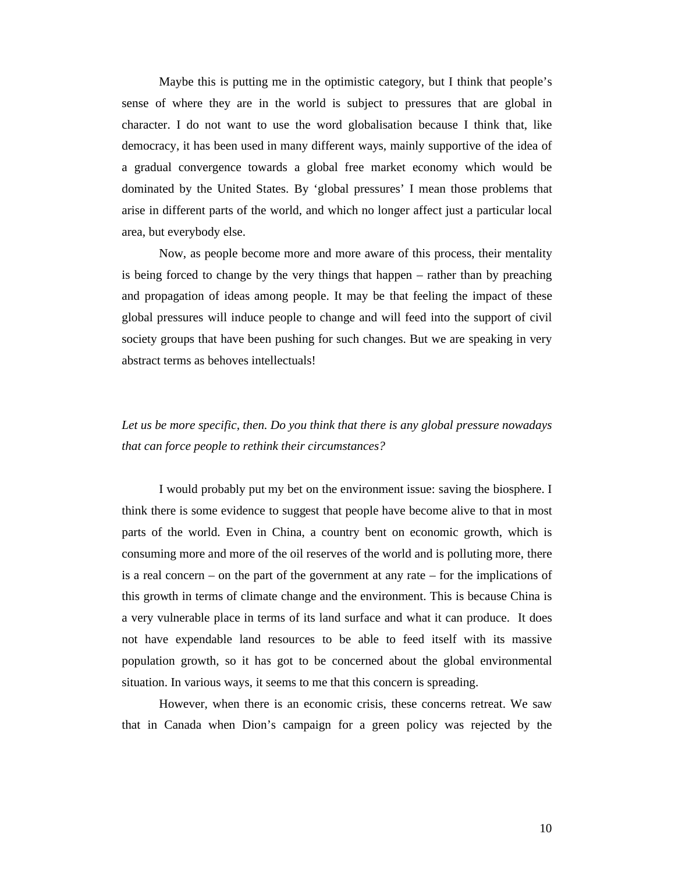Maybe this is putting me in the optimistic category, but I think that people's sense of where they are in the world is subject to pressures that are global in character. I do not want to use the word globalisation because I think that, like democracy, it has been used in many different ways, mainly supportive of the idea of a gradual convergence towards a global free market economy which would be dominated by the United States. By 'global pressures' I mean those problems that arise in different parts of the world, and which no longer affect just a particular local area, but everybody else.

Now, as people become more and more aware of this process, their mentality is being forced to change by the very things that happen – rather than by preaching and propagation of ideas among people. It may be that feeling the impact of these global pressures will induce people to change and will feed into the support of civil society groups that have been pushing for such changes. But we are speaking in very abstract terms as behoves intellectuals!

## *Let us be more specific, then. Do you think that there is any global pressure nowadays that can force people to rethink their circumstances?*

I would probably put my bet on the environment issue: saving the biosphere. I think there is some evidence to suggest that people have become alive to that in most parts of the world. Even in China, a country bent on economic growth, which is consuming more and more of the oil reserves of the world and is polluting more, there is a real concern – on the part of the government at any rate – for the implications of this growth in terms of climate change and the environment. This is because China is a very vulnerable place in terms of its land surface and what it can produce. It does not have expendable land resources to be able to feed itself with its massive population growth, so it has got to be concerned about the global environmental situation. In various ways, it seems to me that this concern is spreading.

However, when there is an economic crisis, these concerns retreat. We saw that in Canada when Dion's campaign for a green policy was rejected by the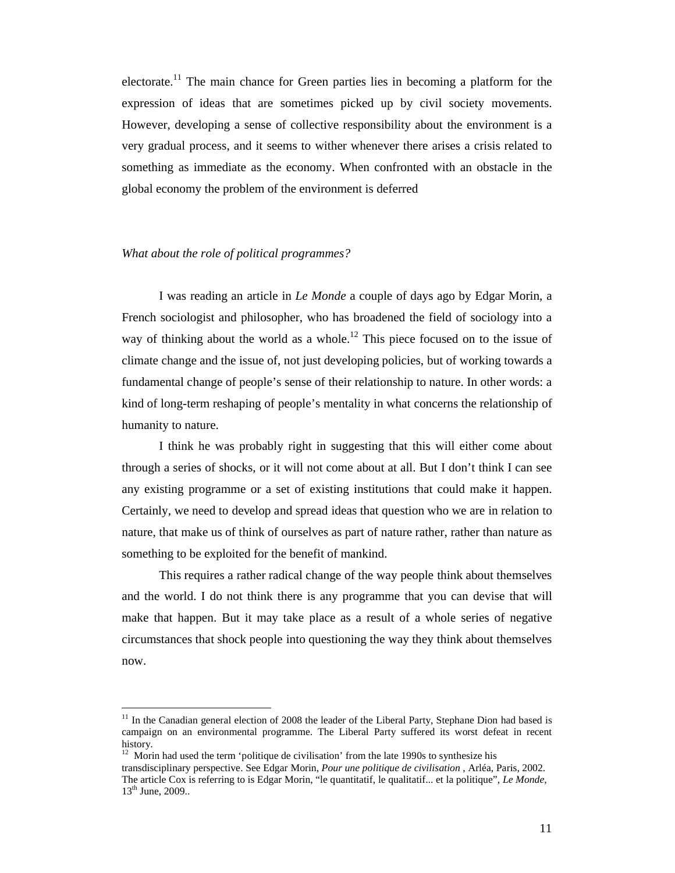electorate.<sup>11</sup> The main chance for Green parties lies in becoming a platform for the expression of ideas that are sometimes picked up by civil society movements. However, developing a sense of collective responsibility about the environment is a very gradual process, and it seems to wither whenever there arises a crisis related to something as immediate as the economy. When confronted with an obstacle in the global economy the problem of the environment is deferred

#### *What about the role of political programmes?*

-

I was reading an article in *Le Monde* a couple of days ago by Edgar Morin, a French sociologist and philosopher, who has broadened the field of sociology into a way of thinking about the world as a whole.<sup>12</sup> This piece focused on to the issue of climate change and the issue of, not just developing policies, but of working towards a fundamental change of people's sense of their relationship to nature. In other words: a kind of long-term reshaping of people's mentality in what concerns the relationship of humanity to nature.

I think he was probably right in suggesting that this will either come about through a series of shocks, or it will not come about at all. But I don't think I can see any existing programme or a set of existing institutions that could make it happen. Certainly, we need to develop and spread ideas that question who we are in relation to nature, that make us of think of ourselves as part of nature rather, rather than nature as something to be exploited for the benefit of mankind.

This requires a rather radical change of the way people think about themselves and the world. I do not think there is any programme that you can devise that will make that happen. But it may take place as a result of a whole series of negative circumstances that shock people into questioning the way they think about themselves now.

<sup>11</sup> In the Canadian general election of 2008 the leader of the Liberal Party, Stephane Dion had based is campaign on an environmental programme. The Liberal Party suffered its worst defeat in recent history.

 $12$  Morin had used the term 'politique de civilisation' from the late 1990s to synthesize his transdisciplinary perspective. See Edgar Morin, *Pour une politique de civilisation* , Arléa, Paris, 2002. The article Cox is referring to is Edgar Morin, "le quantitatif, le qualitatif... et la politique", *Le Monde*,  $13^{th}$  June, 2009..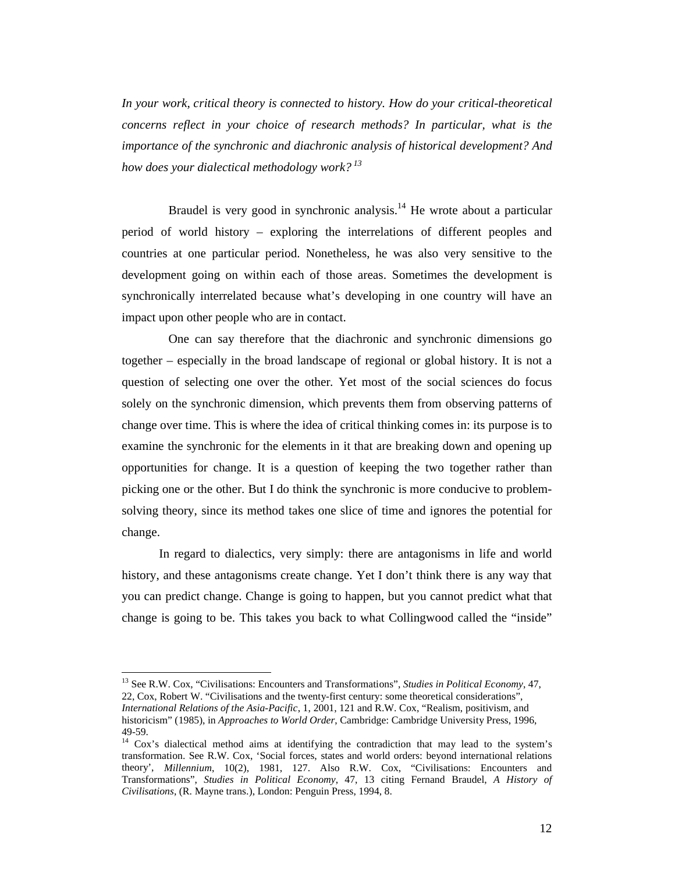*In your work, critical theory is connected to history. How do your critical-theoretical concerns reflect in your choice of research methods? In particular, what is the importance of the synchronic and diachronic analysis of historical development? And how does your dialectical methodology work? <sup>13</sup>*

Braudel is very good in synchronic analysis.<sup>14</sup> He wrote about a particular period of world history – exploring the interrelations of different peoples and countries at one particular period. Nonetheless, he was also very sensitive to the development going on within each of those areas. Sometimes the development is synchronically interrelated because what's developing in one country will have an impact upon other people who are in contact.

One can say therefore that the diachronic and synchronic dimensions go together – especially in the broad landscape of regional or global history. It is not a question of selecting one over the other. Yet most of the social sciences do focus solely on the synchronic dimension, which prevents them from observing patterns of change over time. This is where the idea of critical thinking comes in: its purpose is to examine the synchronic for the elements in it that are breaking down and opening up opportunities for change. It is a question of keeping the two together rather than picking one or the other. But I do think the synchronic is more conducive to problemsolving theory, since its method takes one slice of time and ignores the potential for change.

In regard to dialectics, very simply: there are antagonisms in life and world history, and these antagonisms create change. Yet I don't think there is any way that you can predict change. Change is going to happen, but you cannot predict what that change is going to be. This takes you back to what Collingwood called the "inside"

<sup>13</sup> See R.W. Cox, "Civilisations: Encounters and Transformations", *Studies in Political Economy*, 47, 22, Cox, Robert W. "Civilisations and the twenty-first century: some theoretical considerations", *International Relations of the Asia-Pacific*, 1, 2001, 121 and R.W. Cox, "Realism, positivism, and historicism" (1985), in *Approaches to World Order*, Cambridge: Cambridge University Press, 1996, 49-59.

<sup>&</sup>lt;sup>14</sup> Cox's dialectical method aims at identifying the contradiction that may lead to the system's transformation. See R.W. Cox, 'Social forces, states and world orders: beyond international relations theory', *Millennium*, 10(2), 1981, 127. Also R.W. Cox, "Civilisations: Encounters and Transformations", *Studies in Political Economy*, 47, 13 citing Fernand Braudel, *A History of Civilisations*, (R. Mayne trans.), London: Penguin Press, 1994, 8.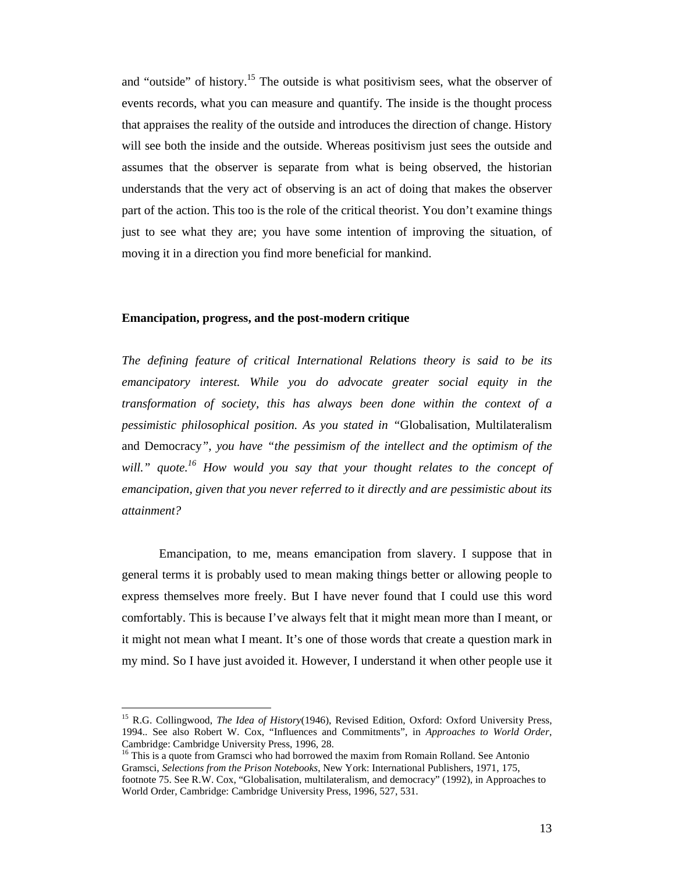and "outside" of history.<sup>15</sup> The outside is what positivism sees, what the observer of events records, what you can measure and quantify. The inside is the thought process that appraises the reality of the outside and introduces the direction of change. History will see both the inside and the outside. Whereas positivism just sees the outside and assumes that the observer is separate from what is being observed, the historian understands that the very act of observing is an act of doing that makes the observer part of the action. This too is the role of the critical theorist. You don't examine things just to see what they are; you have some intention of improving the situation, of moving it in a direction you find more beneficial for mankind.

#### **Emancipation, progress, and the post-modern critique**

*The defining feature of critical International Relations theory is said to be its emancipatory interest. While you do advocate greater social equity in the transformation of society, this has always been done within the context of a pessimistic philosophical position. As you stated in "*Globalisation, Multilateralism and Democracy*", you have "the pessimism of the intellect and the optimism of the will." quote.16 How would you say that your thought relates to the concept of emancipation, given that you never referred to it directly and are pessimistic about its attainment?*

Emancipation, to me, means emancipation from slavery. I suppose that in general terms it is probably used to mean making things better or allowing people to express themselves more freely. But I have never found that I could use this word comfortably. This is because I've always felt that it might mean more than I meant, or it might not mean what I meant. It's one of those words that create a question mark in my mind. So I have just avoided it. However, I understand it when other people use it

<sup>&</sup>lt;sup>15</sup> R.G. Collingwood, *The Idea of History*(1946), Revised Edition, Oxford: Oxford University Press, 1994.. See also Robert W. Cox, "Influences and Commitments", in *Approaches to World Order*, Cambridge: Cambridge University Press, 1996, 28.

<sup>&</sup>lt;sup>16</sup> This is a quote from Gramsci who had borrowed the maxim from Romain Rolland. See Antonio Gramsci, *Selections from the Prison Notebooks*, New York: International Publishers, 1971, 175, footnote 75. See R.W. Cox, "Globalisation, multilateralism, and democracy" (1992), in Approaches to World Order, Cambridge: Cambridge University Press, 1996, 527, 531.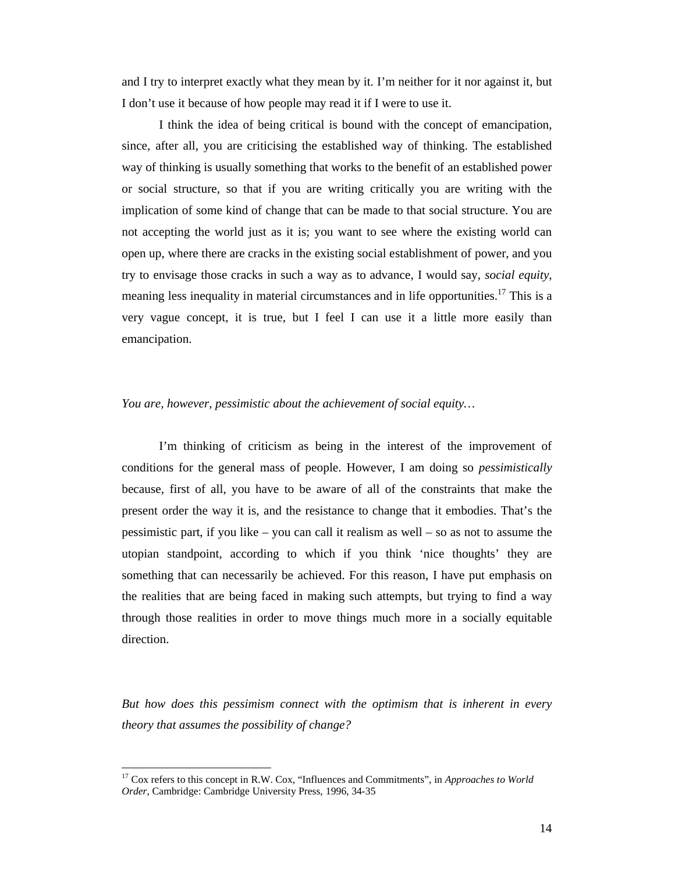and I try to interpret exactly what they mean by it. I'm neither for it nor against it, but I don't use it because of how people may read it if I were to use it.

I think the idea of being critical is bound with the concept of emancipation, since, after all, you are criticising the established way of thinking. The established way of thinking is usually something that works to the benefit of an established power or social structure, so that if you are writing critically you are writing with the implication of some kind of change that can be made to that social structure. You are not accepting the world just as it is; you want to see where the existing world can open up, where there are cracks in the existing social establishment of power, and you try to envisage those cracks in such a way as to advance, I would say, *social equity*, meaning less inequality in material circumstances and in life opportunities.<sup>17</sup> This is a very vague concept, it is true, but I feel I can use it a little more easily than emancipation.

#### *You are, however, pessimistic about the achievement of social equity…*

I'm thinking of criticism as being in the interest of the improvement of conditions for the general mass of people. However, I am doing so *pessimistically* because, first of all, you have to be aware of all of the constraints that make the present order the way it is, and the resistance to change that it embodies. That's the pessimistic part, if you like – you can call it realism as well – so as not to assume the utopian standpoint, according to which if you think 'nice thoughts' they are something that can necessarily be achieved. For this reason, I have put emphasis on the realities that are being faced in making such attempts, but trying to find a way through those realities in order to move things much more in a socially equitable direction.

*But how does this pessimism connect with the optimism that is inherent in every theory that assumes the possibility of change?*

<sup>17</sup> Cox refers to this concept in R.W. Cox, "Influences and Commitments", in *Approaches to World Order*, Cambridge: Cambridge University Press, 1996, 34-35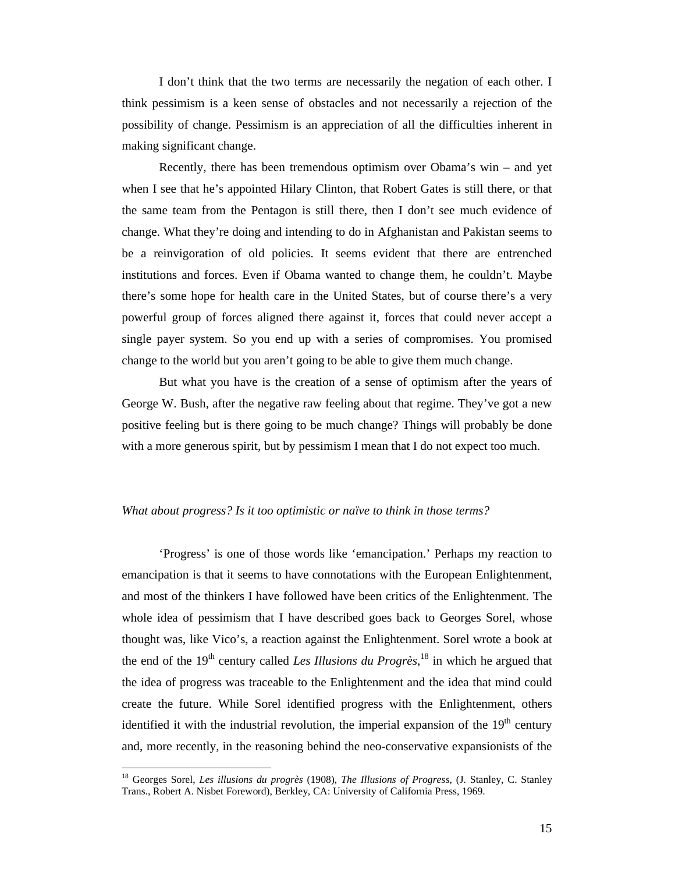I don't think that the two terms are necessarily the negation of each other. I think pessimism is a keen sense of obstacles and not necessarily a rejection of the possibility of change. Pessimism is an appreciation of all the difficulties inherent in making significant change.

Recently, there has been tremendous optimism over Obama's win – and yet when I see that he's appointed Hilary Clinton, that Robert Gates is still there, or that the same team from the Pentagon is still there, then I don't see much evidence of change. What they're doing and intending to do in Afghanistan and Pakistan seems to be a reinvigoration of old policies. It seems evident that there are entrenched institutions and forces. Even if Obama wanted to change them, he couldn't. Maybe there's some hope for health care in the United States, but of course there's a very powerful group of forces aligned there against it, forces that could never accept a single payer system. So you end up with a series of compromises. You promised change to the world but you aren't going to be able to give them much change.

But what you have is the creation of a sense of optimism after the years of George W. Bush, after the negative raw feeling about that regime. They've got a new positive feeling but is there going to be much change? Things will probably be done with a more generous spirit, but by pessimism I mean that I do not expect too much.

#### *What about progress? Is it too optimistic or naïve to think in those terms?*

'Progress' is one of those words like 'emancipation.' Perhaps my reaction to emancipation is that it seems to have connotations with the European Enlightenment, and most of the thinkers I have followed have been critics of the Enlightenment. The whole idea of pessimism that I have described goes back to Georges Sorel, whose thought was, like Vico's, a reaction against the Enlightenment. Sorel wrote a book at the end of the 19<sup>th</sup> century called *Les Illusions du Progrès*,<sup>18</sup> in which he argued that the idea of progress was traceable to the Enlightenment and the idea that mind could create the future. While Sorel identified progress with the Enlightenment, others identified it with the industrial revolution, the imperial expansion of the  $19<sup>th</sup>$  century and, more recently, in the reasoning behind the neo-conservative expansionists of the

<sup>18</sup> Georges Sorel, *Les illusions du progrès* (1908), *The Illusions of Progress*, (J. Stanley, C. Stanley Trans., Robert A. Nisbet Foreword), Berkley, CA: University of California Press, 1969.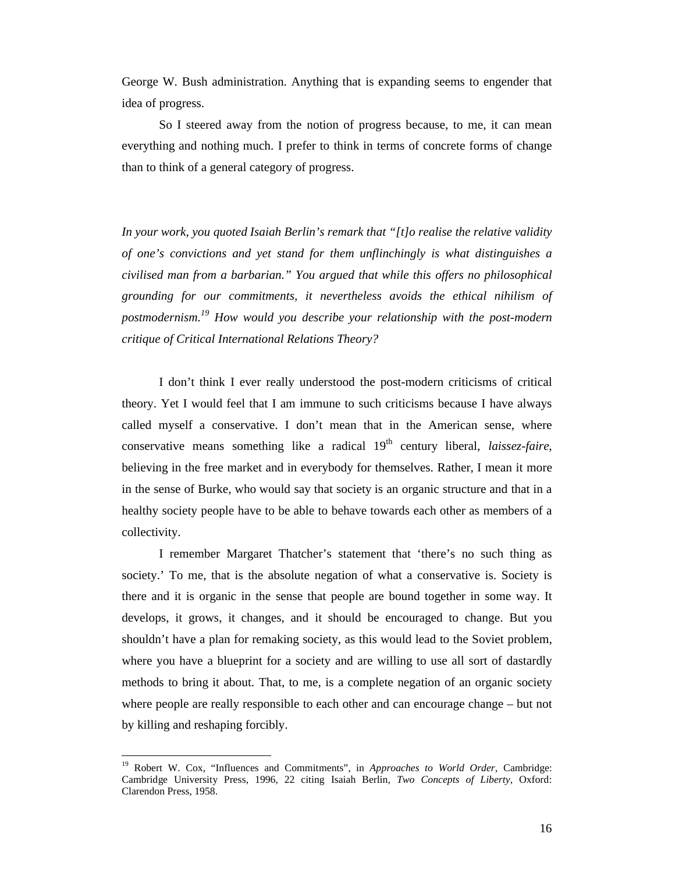George W. Bush administration. Anything that is expanding seems to engender that idea of progress.

So I steered away from the notion of progress because, to me, it can mean everything and nothing much. I prefer to think in terms of concrete forms of change than to think of a general category of progress.

*In your work, you quoted Isaiah Berlin's remark that "[t]o realise the relative validity of one's convictions and yet stand for them unflinchingly is what distinguishes a civilised man from a barbarian." You argued that while this offers no philosophical grounding for our commitments, it nevertheless avoids the ethical nihilism of postmodernism.19 How would you describe your relationship with the post-modern critique of Critical International Relations Theory?*

I don't think I ever really understood the post-modern criticisms of critical theory. Yet I would feel that I am immune to such criticisms because I have always called myself a conservative. I don't mean that in the American sense, where conservative means something like a radical  $19<sup>th</sup>$  century liberal, *laissez-faire*, believing in the free market and in everybody for themselves. Rather, I mean it more in the sense of Burke, who would say that society is an organic structure and that in a healthy society people have to be able to behave towards each other as members of a collectivity.

I remember Margaret Thatcher's statement that 'there's no such thing as society.' To me, that is the absolute negation of what a conservative is. Society is there and it is organic in the sense that people are bound together in some way. It develops, it grows, it changes, and it should be encouraged to change. But you shouldn't have a plan for remaking society, as this would lead to the Soviet problem, where you have a blueprint for a society and are willing to use all sort of dastardly methods to bring it about. That, to me, is a complete negation of an organic society where people are really responsible to each other and can encourage change – but not by killing and reshaping forcibly.

<sup>19</sup> Robert W. Cox, "Influences and Commitments", in *Approaches to World Order*, Cambridge: Cambridge University Press, 1996, 22 citing Isaiah Berlin, *Two Concepts of Liberty*, Oxford: Clarendon Press, 1958.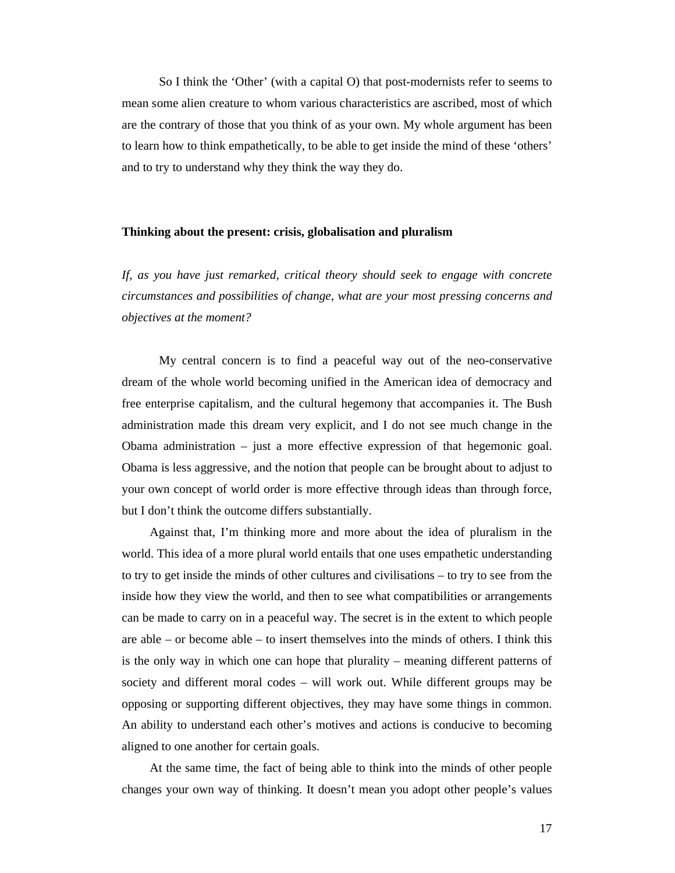So I think the 'Other' (with a capital O) that post-modernists refer to seems to mean some alien creature to whom various characteristics are ascribed, most of which are the contrary of those that you think of as your own. My whole argument has been to learn how to think empathetically, to be able to get inside the mind of these 'others' and to try to understand why they think the way they do.

#### **Thinking about the present: crisis, globalisation and pluralism**

*If, as you have just remarked, critical theory should seek to engage with concrete circumstances and possibilities of change, what are your most pressing concerns and objectives at the moment?*

My central concern is to find a peaceful way out of the neo-conservative dream of the whole world becoming unified in the American idea of democracy and free enterprise capitalism, and the cultural hegemony that accompanies it. The Bush administration made this dream very explicit, and I do not see much change in the Obama administration – just a more effective expression of that hegemonic goal. Obama is less aggressive, and the notion that people can be brought about to adjust to your own concept of world order is more effective through ideas than through force, but I don't think the outcome differs substantially.

Against that, I'm thinking more and more about the idea of pluralism in the world. This idea of a more plural world entails that one uses empathetic understanding to try to get inside the minds of other cultures and civilisations – to try to see from the inside how they view the world, and then to see what compatibilities or arrangements can be made to carry on in a peaceful way. The secret is in the extent to which people are able – or become able – to insert themselves into the minds of others. I think this is the only way in which one can hope that plurality – meaning different patterns of society and different moral codes – will work out. While different groups may be opposing or supporting different objectives, they may have some things in common. An ability to understand each other's motives and actions is conducive to becoming aligned to one another for certain goals.

At the same time, the fact of being able to think into the minds of other people changes your own way of thinking. It doesn't mean you adopt other people's values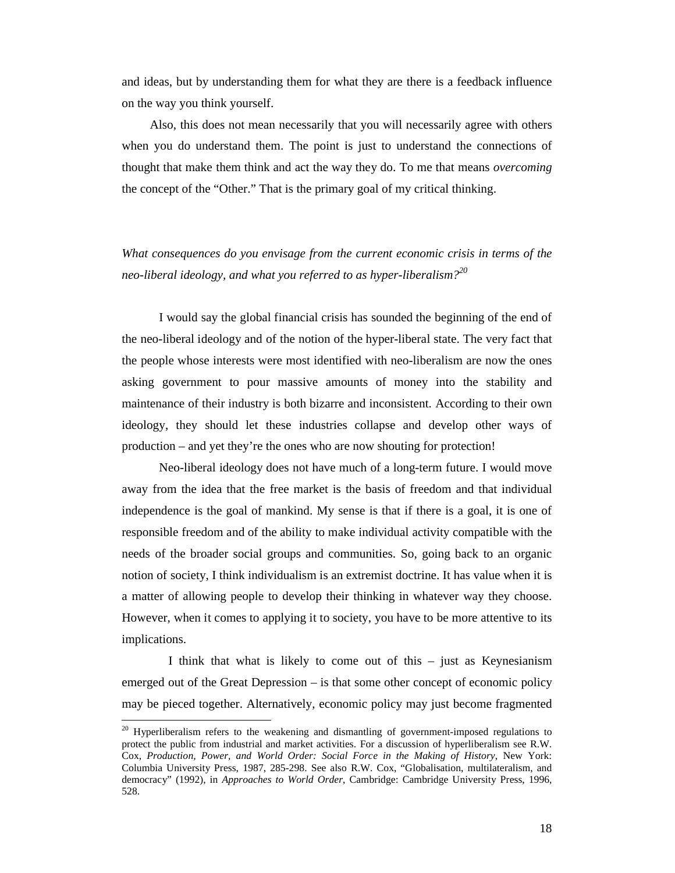and ideas, but by understanding them for what they are there is a feedback influence on the way you think yourself.

Also, this does not mean necessarily that you will necessarily agree with others when you do understand them. The point is just to understand the connections of thought that make them think and act the way they do. To me that means *overcoming* the concept of the "Other." That is the primary goal of my critical thinking.

*What consequences do you envisage from the current economic crisis in terms of the neo-liberal ideology, and what you referred to as hyper-liberalism?20*

I would say the global financial crisis has sounded the beginning of the end of the neo-liberal ideology and of the notion of the hyper-liberal state. The very fact that the people whose interests were most identified with neo-liberalism are now the ones asking government to pour massive amounts of money into the stability and maintenance of their industry is both bizarre and inconsistent. According to their own ideology, they should let these industries collapse and develop other ways of production – and yet they're the ones who are now shouting for protection!

Neo-liberal ideology does not have much of a long-term future. I would move away from the idea that the free market is the basis of freedom and that individual independence is the goal of mankind. My sense is that if there is a goal, it is one of responsible freedom and of the ability to make individual activity compatible with the needs of the broader social groups and communities. So, going back to an organic notion of society, I think individualism is an extremist doctrine. It has value when it is a matter of allowing people to develop their thinking in whatever way they choose. However, when it comes to applying it to society, you have to be more attentive to its implications.

I think that what is likely to come out of this – just as Keynesianism emerged out of the Great Depression – is that some other concept of economic policy may be pieced together. Alternatively, economic policy may just become fragmented

<sup>&</sup>lt;sup>20</sup> Hyperliberalism refers to the weakening and dismantling of government-imposed regulations to protect the public from industrial and market activities. For a discussion of hyperliberalism see R.W. Cox, *Production, Power, and World Order: Social Force in the Making of History*, New York: Columbia University Press, 1987, 285-298. See also R.W. Cox, "Globalisation, multilateralism, and democracy" (1992), in *Approaches to World Order*, Cambridge: Cambridge University Press, 1996, 528.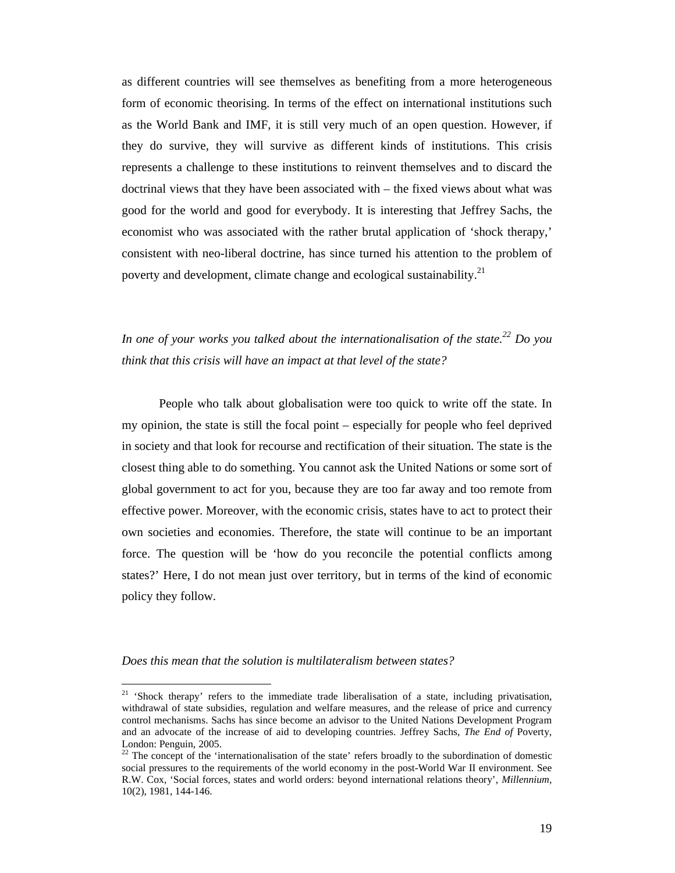as different countries will see themselves as benefiting from a more heterogeneous form of economic theorising. In terms of the effect on international institutions such as the World Bank and IMF, it is still very much of an open question. However, if they do survive, they will survive as different kinds of institutions. This crisis represents a challenge to these institutions to reinvent themselves and to discard the doctrinal views that they have been associated with – the fixed views about what was good for the world and good for everybody. It is interesting that Jeffrey Sachs, the economist who was associated with the rather brutal application of 'shock therapy,' consistent with neo-liberal doctrine, has since turned his attention to the problem of poverty and development, climate change and ecological sustainability.<sup>21</sup>

*In one of your works you talked about the internationalisation of the state.*<sup>22</sup> *Do you think that this crisis will have an impact at that level of the state?*

People who talk about globalisation were too quick to write off the state. In my opinion, the state is still the focal point – especially for people who feel deprived in society and that look for recourse and rectification of their situation. The state is the closest thing able to do something. You cannot ask the United Nations or some sort of global government to act for you, because they are too far away and too remote from effective power. Moreover, with the economic crisis, states have to act to protect their own societies and economies. Therefore, the state will continue to be an important force. The question will be 'how do you reconcile the potential conflicts among states?' Here, I do not mean just over territory, but in terms of the kind of economic policy they follow.

*Does this mean that the solution is multilateralism between states?*

<sup>&</sup>lt;sup>21</sup> 'Shock therapy' refers to the immediate trade liberalisation of a state, including privatisation, withdrawal of state subsidies, regulation and welfare measures, and the release of price and currency control mechanisms. Sachs has since become an advisor to the United Nations Development Program and an advocate of the increase of aid to developing countries. Jeffrey Sachs, *The End of* Poverty, London: Penguin, 2005.

<sup>&</sup>lt;sup>22</sup> The concept of the 'internationalisation of the state' refers broadly to the subordination of domestic social pressures to the requirements of the world economy in the post-World War II environment. See R.W. Cox, 'Social forces, states and world orders: beyond international relations theory', *Millennium*, 10(2), 1981, 144-146.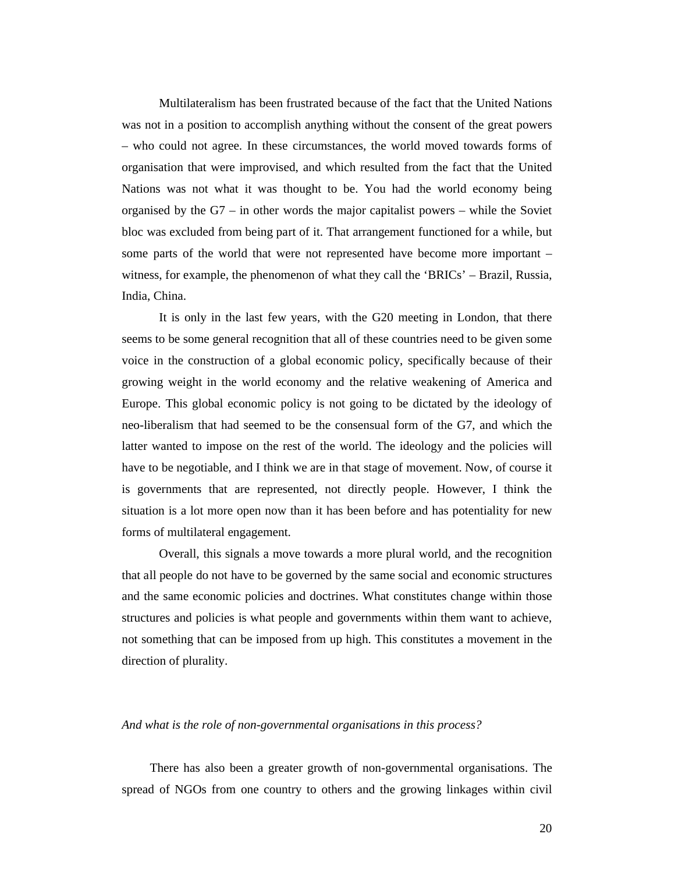Multilateralism has been frustrated because of the fact that the United Nations was not in a position to accomplish anything without the consent of the great powers – who could not agree. In these circumstances, the world moved towards forms of organisation that were improvised, and which resulted from the fact that the United Nations was not what it was thought to be. You had the world economy being organised by the G7 – in other words the major capitalist powers – while the Soviet bloc was excluded from being part of it. That arrangement functioned for a while, but some parts of the world that were not represented have become more important – witness, for example, the phenomenon of what they call the 'BRICs' – Brazil, Russia, India, China.

It is only in the last few years, with the G20 meeting in London, that there seems to be some general recognition that all of these countries need to be given some voice in the construction of a global economic policy, specifically because of their growing weight in the world economy and the relative weakening of America and Europe. This global economic policy is not going to be dictated by the ideology of neo-liberalism that had seemed to be the consensual form of the G7, and which the latter wanted to impose on the rest of the world. The ideology and the policies will have to be negotiable, and I think we are in that stage of movement. Now, of course it is governments that are represented, not directly people. However, I think the situation is a lot more open now than it has been before and has potentiality for new forms of multilateral engagement.

Overall, this signals a move towards a more plural world, and the recognition that all people do not have to be governed by the same social and economic structures and the same economic policies and doctrines. What constitutes change within those structures and policies is what people and governments within them want to achieve, not something that can be imposed from up high. This constitutes a movement in the direction of plurality.

#### *And what is the role of non-governmental organisations in this process?*

There has also been a greater growth of non-governmental organisations. The spread of NGOs from one country to others and the growing linkages within civil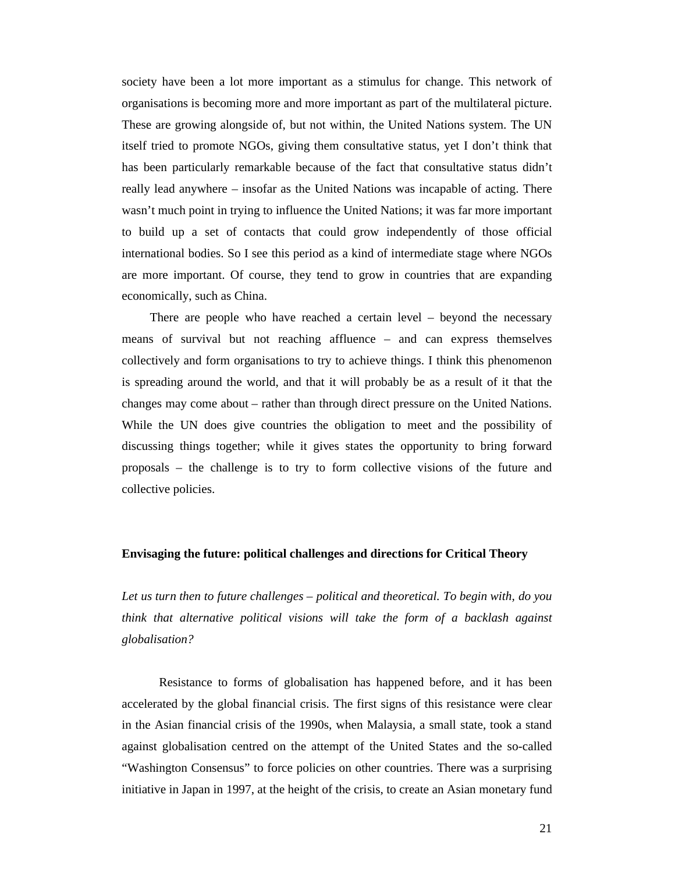society have been a lot more important as a stimulus for change. This network of organisations is becoming more and more important as part of the multilateral picture. These are growing alongside of, but not within, the United Nations system. The UN itself tried to promote NGOs, giving them consultative status, yet I don't think that has been particularly remarkable because of the fact that consultative status didn't really lead anywhere – insofar as the United Nations was incapable of acting. There wasn't much point in trying to influence the United Nations; it was far more important to build up a set of contacts that could grow independently of those official international bodies. So I see this period as a kind of intermediate stage where NGOs are more important. Of course, they tend to grow in countries that are expanding economically, such as China.

There are people who have reached a certain level – beyond the necessary means of survival but not reaching affluence – and can express themselves collectively and form organisations to try to achieve things. I think this phenomenon is spreading around the world, and that it will probably be as a result of it that the changes may come about – rather than through direct pressure on the United Nations. While the UN does give countries the obligation to meet and the possibility of discussing things together; while it gives states the opportunity to bring forward proposals – the challenge is to try to form collective visions of the future and collective policies.

#### **Envisaging the future: political challenges and directions for Critical Theory**

*Let us turn then to future challenges – political and theoretical. To begin with, do you think that alternative political visions will take the form of a backlash against globalisation?*

Resistance to forms of globalisation has happened before, and it has been accelerated by the global financial crisis. The first signs of this resistance were clear in the Asian financial crisis of the 1990s, when Malaysia, a small state, took a stand against globalisation centred on the attempt of the United States and the so-called "Washington Consensus" to force policies on other countries. There was a surprising initiative in Japan in 1997, at the height of the crisis, to create an Asian monetary fund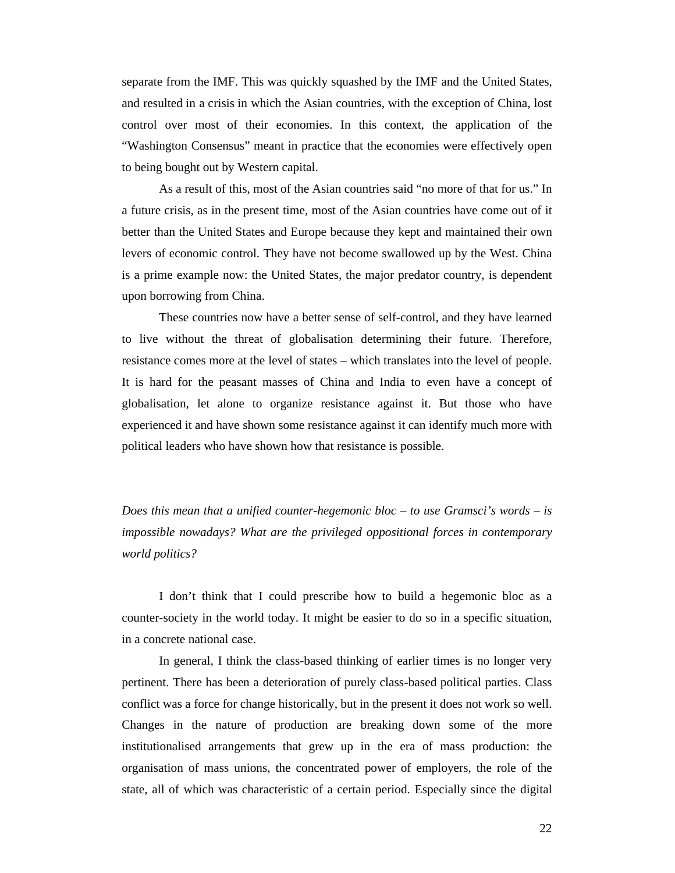separate from the IMF. This was quickly squashed by the IMF and the United States, and resulted in a crisis in which the Asian countries, with the exception of China, lost control over most of their economies. In this context, the application of the "Washington Consensus" meant in practice that the economies were effectively open to being bought out by Western capital.

As a result of this, most of the Asian countries said "no more of that for us." In a future crisis, as in the present time, most of the Asian countries have come out of it better than the United States and Europe because they kept and maintained their own levers of economic control. They have not become swallowed up by the West. China is a prime example now: the United States, the major predator country, is dependent upon borrowing from China.

These countries now have a better sense of self-control, and they have learned to live without the threat of globalisation determining their future. Therefore, resistance comes more at the level of states – which translates into the level of people. It is hard for the peasant masses of China and India to even have a concept of globalisation, let alone to organize resistance against it. But those who have experienced it and have shown some resistance against it can identify much more with political leaders who have shown how that resistance is possible.

*Does this mean that a unified counter-hegemonic bloc – to use Gramsci's words – is impossible nowadays? What are the privileged oppositional forces in contemporary world politics?*

I don't think that I could prescribe how to build a hegemonic bloc as a counter-society in the world today. It might be easier to do so in a specific situation, in a concrete national case.

In general, I think the class-based thinking of earlier times is no longer very pertinent. There has been a deterioration of purely class-based political parties. Class conflict was a force for change historically, but in the present it does not work so well. Changes in the nature of production are breaking down some of the more institutionalised arrangements that grew up in the era of mass production: the organisation of mass unions, the concentrated power of employers, the role of the state, all of which was characteristic of a certain period. Especially since the digital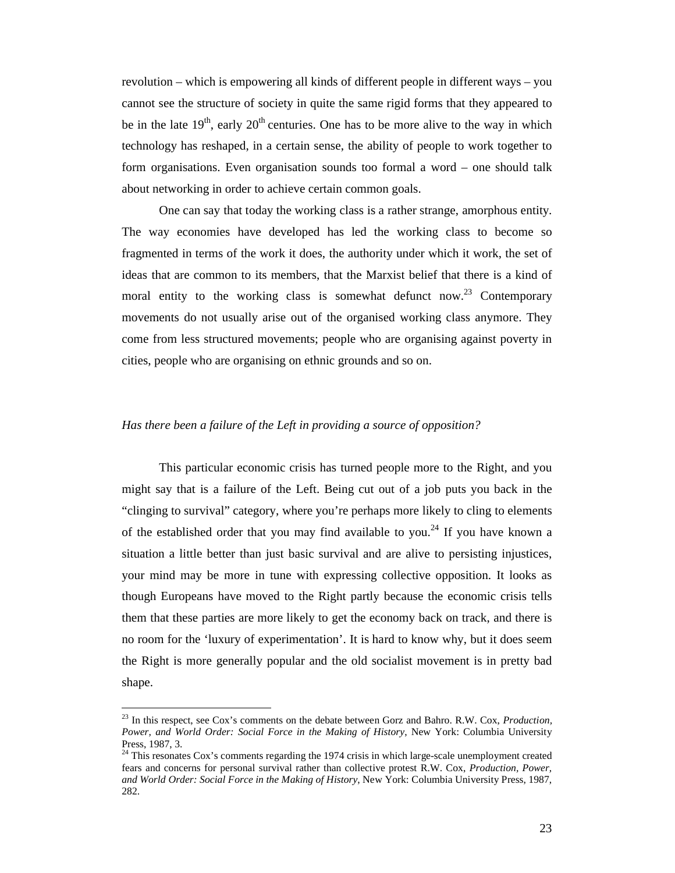revolution – which is empowering all kinds of different people in different ways – you cannot see the structure of society in quite the same rigid forms that they appeared to be in the late  $19<sup>th</sup>$ , early  $20<sup>th</sup>$  centuries. One has to be more alive to the way in which technology has reshaped, in a certain sense, the ability of people to work together to form organisations. Even organisation sounds too formal a word – one should talk about networking in order to achieve certain common goals.

One can say that today the working class is a rather strange, amorphous entity. The way economies have developed has led the working class to become so fragmented in terms of the work it does, the authority under which it work, the set of ideas that are common to its members, that the Marxist belief that there is a kind of moral entity to the working class is somewhat defunct now.<sup>23</sup> Contemporary movements do not usually arise out of the organised working class anymore. They come from less structured movements; people who are organising against poverty in cities, people who are organising on ethnic grounds and so on.

#### *Has there been a failure of the Left in providing a source of opposition?*

This particular economic crisis has turned people more to the Right, and you might say that is a failure of the Left. Being cut out of a job puts you back in the "clinging to survival" category, where you're perhaps more likely to cling to elements of the established order that you may find available to you.<sup>24</sup> If you have known a situation a little better than just basic survival and are alive to persisting injustices, your mind may be more in tune with expressing collective opposition. It looks as though Europeans have moved to the Right partly because the economic crisis tells them that these parties are more likely to get the economy back on track, and there is no room for the 'luxury of experimentation'. It is hard to know why, but it does seem the Right is more generally popular and the old socialist movement is in pretty bad shape.

<sup>23</sup> In this respect, see Cox's comments on the debate between Gorz and Bahro. R.W. Cox, *Production, Power, and World Order: Social Force in the Making of History*, New York: Columbia University Press, 1987, 3.

 $24$  This resonates Cox's comments regarding the 1974 crisis in which large-scale unemployment created fears and concerns for personal survival rather than collective protest R.W. Cox, *Production, Power, and World Order: Social Force in the Making of History*, New York: Columbia University Press, 1987, 282.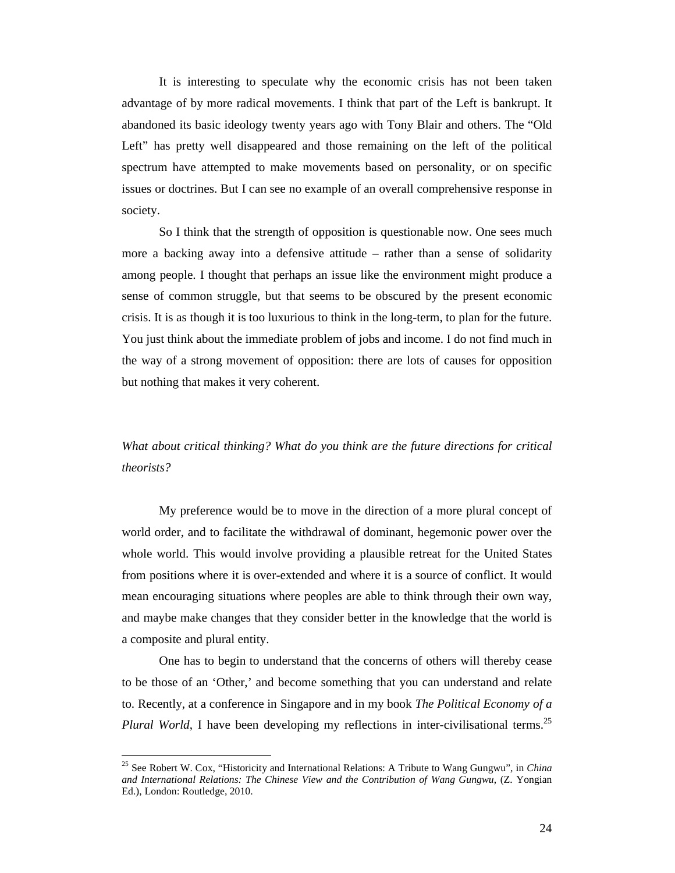It is interesting to speculate why the economic crisis has not been taken advantage of by more radical movements. I think that part of the Left is bankrupt. It abandoned its basic ideology twenty years ago with Tony Blair and others. The "Old Left" has pretty well disappeared and those remaining on the left of the political spectrum have attempted to make movements based on personality, or on specific issues or doctrines. But I can see no example of an overall comprehensive response in society.

So I think that the strength of opposition is questionable now. One sees much more a backing away into a defensive attitude – rather than a sense of solidarity among people. I thought that perhaps an issue like the environment might produce a sense of common struggle, but that seems to be obscured by the present economic crisis. It is as though it is too luxurious to think in the long-term, to plan for the future. You just think about the immediate problem of jobs and income. I do not find much in the way of a strong movement of opposition: there are lots of causes for opposition but nothing that makes it very coherent.

## *What about critical thinking? What do you think are the future directions for critical theorists?*

My preference would be to move in the direction of a more plural concept of world order, and to facilitate the withdrawal of dominant, hegemonic power over the whole world. This would involve providing a plausible retreat for the United States from positions where it is over-extended and where it is a source of conflict. It would mean encouraging situations where peoples are able to think through their own way, and maybe make changes that they consider better in the knowledge that the world is a composite and plural entity.

One has to begin to understand that the concerns of others will thereby cease to be those of an 'Other,' and become something that you can understand and relate to. Recently, at a conference in Singapore and in my book *The Political Economy of a Plural World*, I have been developing my reflections in inter-civilisational terms.<sup>25</sup>

<sup>25</sup> See Robert W. Cox, "Historicity and International Relations: A Tribute to Wang Gungwu", in *China and International Relations: The Chinese View and the Contribution of Wang Gungwu*, (Z. Yongian Ed.), London: Routledge, 2010.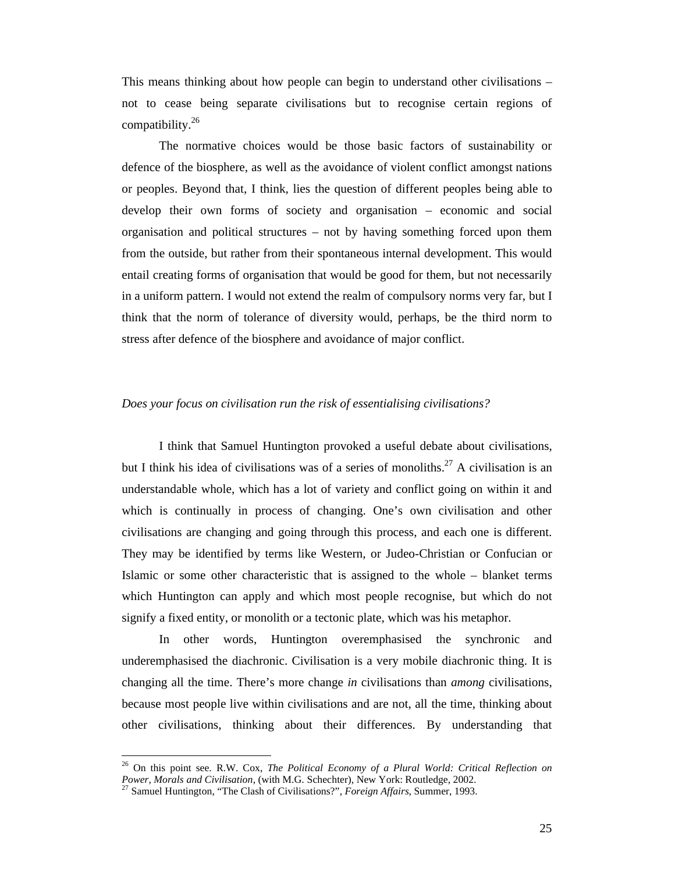This means thinking about how people can begin to understand other civilisations – not to cease being separate civilisations but to recognise certain regions of compatibility. $26$ 

The normative choices would be those basic factors of sustainability or defence of the biosphere, as well as the avoidance of violent conflict amongst nations or peoples. Beyond that, I think, lies the question of different peoples being able to develop their own forms of society and organisation – economic and social organisation and political structures – not by having something forced upon them from the outside, but rather from their spontaneous internal development. This would entail creating forms of organisation that would be good for them, but not necessarily in a uniform pattern. I would not extend the realm of compulsory norms very far, but I think that the norm of tolerance of diversity would, perhaps, be the third norm to stress after defence of the biosphere and avoidance of major conflict.

#### *Does your focus on civilisation run the risk of essentialising civilisations?*

I think that Samuel Huntington provoked a useful debate about civilisations, but I think his idea of civilisations was of a series of monoliths.<sup>27</sup> A civilisation is an understandable whole, which has a lot of variety and conflict going on within it and which is continually in process of changing. One's own civilisation and other civilisations are changing and going through this process, and each one is different. They may be identified by terms like Western, or Judeo-Christian or Confucian or Islamic or some other characteristic that is assigned to the whole – blanket terms which Huntington can apply and which most people recognise, but which do not signify a fixed entity, or monolith or a tectonic plate, which was his metaphor.

In other words, Huntington overemphasised the synchronic and underemphasised the diachronic. Civilisation is a very mobile diachronic thing. It is changing all the time. There's more change *in* civilisations than *among* civilisations, because most people live within civilisations and are not, all the time, thinking about other civilisations, thinking about their differences. By understanding that

<sup>26</sup> On this point see. R.W. Cox, *The Political Economy of a Plural World: Critical Reflection on Power, Morals and Civilisation*, (with M.G. Schechter), New York: Routledge, 2002.<br><sup>27</sup> Samuel Huntington, "The Clash of Civilisations?", *Foreign Affairs*, Summer, 1993.